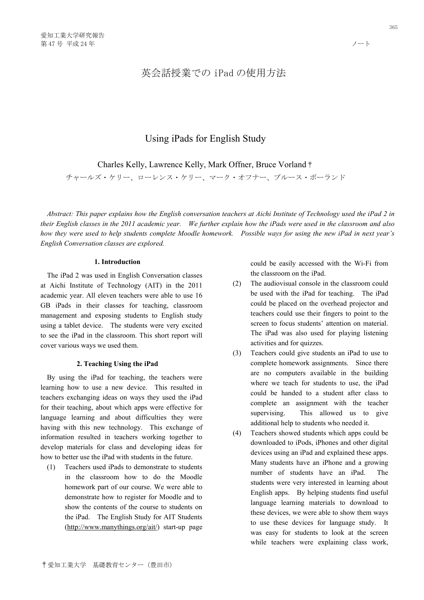# 英会話授業での iPad の使用方法

# Using iPads for English Study

Charles Kelly, Lawrence Kelly, Mark Offner, Bruce Vorland†

チャールズ・ケリー、ローレンス・ケリー、マーク・オフナー、ブルース・ボーランド

*Abstract: This paper explains how the English conversation teachers at Aichi Institute of Technology used the iPad 2 in their English classes in the 2011 academic year. We further explain how the iPads were used in the classroom and also how they were used to help students complete Moodle homework. Possible ways for using the new iPad in next year's English Conversation classes are explored.* 

# **1. Introduction**

The iPad 2 was used in English Conversation classes at Aichi Institute of Technology (AIT) in the 2011 academic year. All eleven teachers were able to use 16 GB iPads in their classes for teaching, classroom management and exposing students to English study using a tablet device. The students were very excited to see the iPad in the classroom. This short report will cover various ways we used them.

#### **2. Teaching Using the iPad**

By using the iPad for teaching, the teachers were learning how to use a new device. This resulted in teachers exchanging ideas on ways they used the iPad for their teaching, about which apps were effective for language learning and about difficulties they were having with this new technology. This exchange of information resulted in teachers working together to develop materials for class and developing ideas for how to better use the iPad with students in the future.

(1) Teachers used iPads to demonstrate to students in the classroom how to do the Moodle homework part of our course. We were able to demonstrate how to register for Moodle and to show the contents of the course to students on the iPad. The English Study for AIT Students (http://www.manythings.org/ait/) start-up page could be easily accessed with the Wi-Fi from the classroom on the iPad.

- (2) The audiovisual console in the classroom could be used with the iPad for teaching. The iPad could be placed on the overhead projector and teachers could use their fingers to point to the screen to focus students' attention on material. The iPad was also used for playing listening activities and for quizzes.
- (3) Teachers could give students an iPad to use to complete homework assignments. Since there are no computers available in the building where we teach for students to use, the iPad could be handed to a student after class to complete an assignment with the teacher supervising. This allowed us to give additional help to students who needed it.
- (4) Teachers showed students which apps could be downloaded to iPods, iPhones and other digital devices using an iPad and explained these apps. Many students have an iPhone and a growing number of students have an iPad. The students were very interested in learning about English apps. By helping students find useful language learning materials to download to these devices, we were able to show them ways to use these devices for language study. It was easy for students to look at the screen while teachers were explaining class work,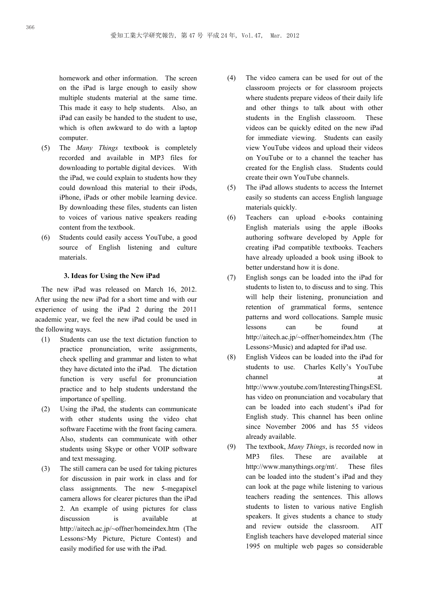homework and other information. The screen on the iPad is large enough to easily show multiple students material at the same time. This made it easy to help students. Also, an iPad can easily be handed to the student to use, which is often awkward to do with a laptop computer.

- (5) The *Many Things* textbook is completely recorded and available in MP3 files for downloading to portable digital devices. With the iPad, we could explain to students how they could download this material to their iPods, iPhone, iPads or other mobile learning device. By downloading these files, students can listen to voices of various native speakers reading content from the textbook.
- (6) Students could easily access YouTube, a good source of English listening and culture materials.

## **3. Ideas for Using the New iPad**

The new iPad was released on March 16, 2012. After using the new iPad for a short time and with our experience of using the iPad 2 during the 2011 academic year, we feel the new iPad could be used in the following ways.

- (1) Students can use the text dictation function to practice pronunciation, write assignments, check spelling and grammar and listen to what they have dictated into the iPad. The dictation function is very useful for pronunciation practice and to help students understand the importance of spelling.
- (2) Using the iPad, the students can communicate with other students using the video chat software Facetime with the front facing camera. Also, students can communicate with other students using Skype or other VOIP software and text messaging.
- (3) The still camera can be used for taking pictures for discussion in pair work in class and for class assignments. The new 5-megapixel camera allows for clearer pictures than the iPad 2. An example of using pictures for class discussion is available at http://aitech.ac.jp/~offner/homeindex.htm (The Lessons>My Picture, Picture Contest) and easily modified for use with the iPad.
- (4) The video camera can be used for out of the classroom projects or for classroom projects where students prepare videos of their daily life and other things to talk about with other students in the English classroom. These videos can be quickly edited on the new iPad for immediate viewing. Students can easily view YouTube videos and upload their videos on YouTube or to a channel the teacher has created for the English class. Students could create their own YouTube channels.
- (5) The iPad allows students to access the Internet easily so students can access English language materials quickly.
- (6) Teachers can upload e-books containing English materials using the apple iBooks authoring software developed by Apple for creating iPad compatible textbooks. Teachers have already uploaded a book using iBook to better understand how it is done.
- (7) English songs can be loaded into the iPad for students to listen to, to discuss and to sing. This will help their listening, pronunciation and retention of grammatical forms, sentence patterns and word collocations. Sample music lessons can be found at http://aitech.ac.jp/~offner/homeindex.htm (The Lessons>Music) and adapted for iPad use.
- (8) English Videos can be loaded into the iPad for students to use. Charles Kelly's YouTube channel at a state of  $\alpha$  at a state of  $\alpha$  at a state of  $\alpha$  at a state of  $\alpha$  at a state of  $\alpha$  at a state of  $\alpha$  at a state of  $\alpha$  at a state of  $\alpha$  at a state of  $\alpha$  at a state of  $\alpha$  at a state of  $\alpha$  at a http://www.youtube.com/InterestingThingsESL has video on pronunciation and vocabulary that can be loaded into each student's iPad for English study. This channel has been online since November 2006 and has 55 videos already available.
- (9) The textbook, *Many Things*, is recorded now in MP3 files. These are available at http://www.manythings.org/mt/. These files can be loaded into the student's iPad and they can look at the page while listening to various teachers reading the sentences. This allows students to listen to various native English speakers. It gives students a chance to study and review outside the classroom. AIT English teachers have developed material since 1995 on multiple web pages so considerable